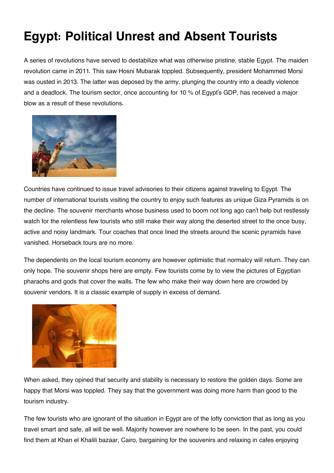## **Egypt: Political Unrest and Absent Tourists**

A series of revolutions have served to destabilize what was otherwise pristine, stable Egypt. The maiden revolution came in 2011. This saw Hosni Mubarak toppled. Subsequently, president Mohammed Morsi was ousted in 2013. The latter was deposed by the army, plunging the country into a deadly violence and a deadlock. The tourism sector, once accounting for 10 % of Egypt's GDP, has received a major blow as a result of these revolutions.



Countries have continued to issue travel advisories to their citizens against traveling to Egypt. The number of international tourists visiting the country to enjoy such features as unique Giza Pyramids is on the decline. The souvenir merchants whose business used to boom not long ago can't help but restlessly watch for the relentless few tourists who still make their way along the deserted street to the once busy, active and noisy landmark. Tour coaches that once lined the streets around the scenic pyramids have vanished. Horseback tours are no more.

The dependents on the local tourism economy are however optimistic that normalcy will return. They can only hope. The souvenir shops here are empty. Few tourists come by to view the pictures of Egyptian pharaohs and gods that cover the walls. The few who make their way down here are crowded by souvenir vendors. It is a classic example of supply in excess of demand.



When asked, they opined that security and stability is necessary to restore the golden days. Some are happy that Morsi was toppled. They say that the government was doing more harm than good to the tourism industry.

The few tourists who are ignorant of the situation in Egypt are of the lofty conviction that as long as you travel smart and safe, all will be well. Majority however are nowhere to be seen. In the past, you could find them at Khan el Khalili bazaar, Cairo, bargaining for the souvenirs and relaxing in cafes enjoying